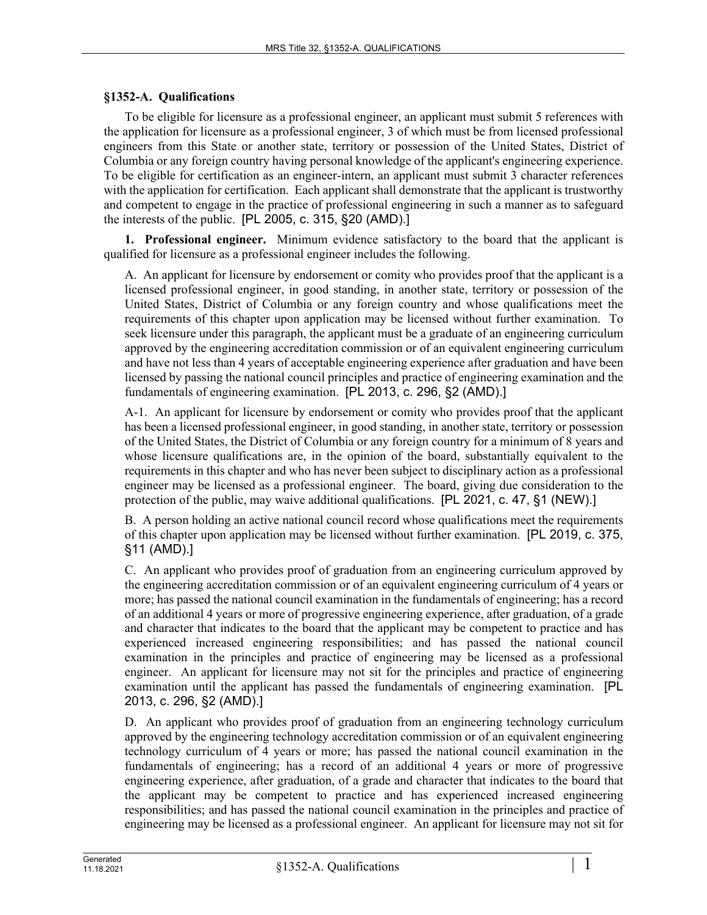## **§1352-A. Qualifications**

To be eligible for licensure as a professional engineer, an applicant must submit 5 references with the application for licensure as a professional engineer, 3 of which must be from licensed professional engineers from this State or another state, territory or possession of the United States, District of Columbia or any foreign country having personal knowledge of the applicant's engineering experience. To be eligible for certification as an engineer-intern, an applicant must submit 3 character references with the application for certification. Each applicant shall demonstrate that the applicant is trustworthy and competent to engage in the practice of professional engineering in such a manner as to safeguard the interests of the public. [PL 2005, c. 315, §20 (AMD).]

**1. Professional engineer.** Minimum evidence satisfactory to the board that the applicant is qualified for licensure as a professional engineer includes the following.

A. An applicant for licensure by endorsement or comity who provides proof that the applicant is a licensed professional engineer, in good standing, in another state, territory or possession of the United States, District of Columbia or any foreign country and whose qualifications meet the requirements of this chapter upon application may be licensed without further examination. To seek licensure under this paragraph, the applicant must be a graduate of an engineering curriculum approved by the engineering accreditation commission or of an equivalent engineering curriculum and have not less than 4 years of acceptable engineering experience after graduation and have been licensed by passing the national council principles and practice of engineering examination and the fundamentals of engineering examination. [PL 2013, c. 296, §2 (AMD).]

A-1. An applicant for licensure by endorsement or comity who provides proof that the applicant has been a licensed professional engineer, in good standing, in another state, territory or possession of the United States, the District of Columbia or any foreign country for a minimum of 8 years and whose licensure qualifications are, in the opinion of the board, substantially equivalent to the requirements in this chapter and who has never been subject to disciplinary action as a professional engineer may be licensed as a professional engineer. The board, giving due consideration to the protection of the public, may waive additional qualifications. [PL 2021, c. 47, §1 (NEW).]

B. A person holding an active national council record whose qualifications meet the requirements of this chapter upon application may be licensed without further examination. [PL 2019, c. 375, §11 (AMD).]

C. An applicant who provides proof of graduation from an engineering curriculum approved by the engineering accreditation commission or of an equivalent engineering curriculum of 4 years or more; has passed the national council examination in the fundamentals of engineering; has a record of an additional 4 years or more of progressive engineering experience, after graduation, of a grade and character that indicates to the board that the applicant may be competent to practice and has experienced increased engineering responsibilities; and has passed the national council examination in the principles and practice of engineering may be licensed as a professional engineer. An applicant for licensure may not sit for the principles and practice of engineering examination until the applicant has passed the fundamentals of engineering examination. [PL 2013, c. 296, §2 (AMD).]

D. An applicant who provides proof of graduation from an engineering technology curriculum approved by the engineering technology accreditation commission or of an equivalent engineering technology curriculum of 4 years or more; has passed the national council examination in the fundamentals of engineering; has a record of an additional 4 years or more of progressive engineering experience, after graduation, of a grade and character that indicates to the board that the applicant may be competent to practice and has experienced increased engineering responsibilities; and has passed the national council examination in the principles and practice of engineering may be licensed as a professional engineer. An applicant for licensure may not sit for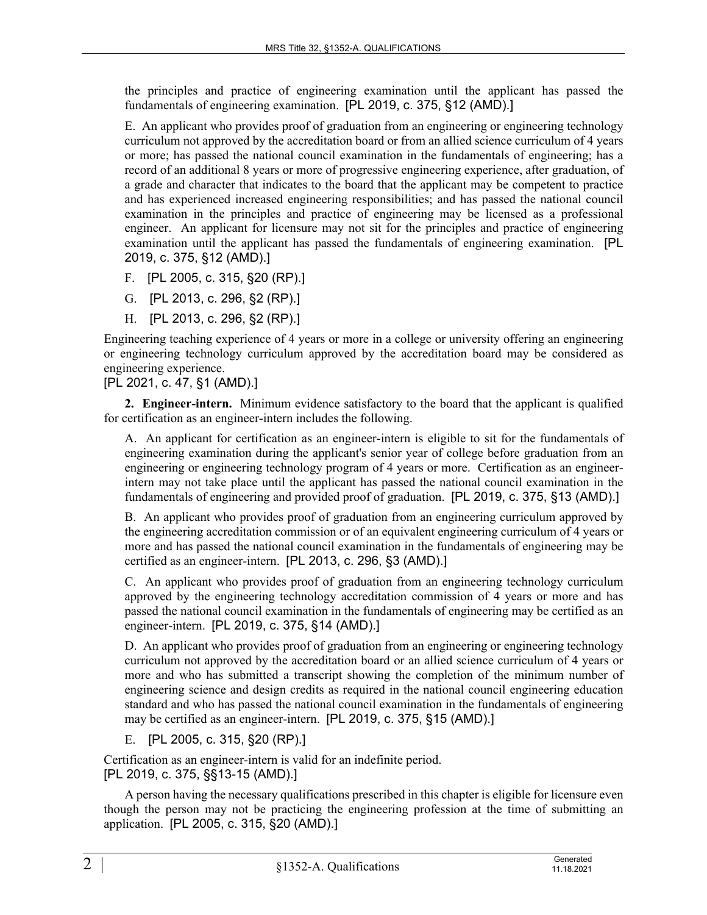the principles and practice of engineering examination until the applicant has passed the fundamentals of engineering examination. [PL 2019, c. 375, §12 (AMD).]

E. An applicant who provides proof of graduation from an engineering or engineering technology curriculum not approved by the accreditation board or from an allied science curriculum of 4 years or more; has passed the national council examination in the fundamentals of engineering; has a record of an additional 8 years or more of progressive engineering experience, after graduation, of a grade and character that indicates to the board that the applicant may be competent to practice and has experienced increased engineering responsibilities; and has passed the national council examination in the principles and practice of engineering may be licensed as a professional engineer. An applicant for licensure may not sit for the principles and practice of engineering examination until the applicant has passed the fundamentals of engineering examination. [PL 2019, c. 375, §12 (AMD).]

- F. [PL 2005, c. 315, §20 (RP).]
- G. [PL 2013, c. 296, §2 (RP).]
- H. [PL 2013, c. 296, §2 (RP).]

Engineering teaching experience of 4 years or more in a college or university offering an engineering or engineering technology curriculum approved by the accreditation board may be considered as engineering experience.

[PL 2021, c. 47, §1 (AMD).]

**2. Engineer-intern.** Minimum evidence satisfactory to the board that the applicant is qualified for certification as an engineer-intern includes the following.

A. An applicant for certification as an engineer-intern is eligible to sit for the fundamentals of engineering examination during the applicant's senior year of college before graduation from an engineering or engineering technology program of 4 years or more. Certification as an engineerintern may not take place until the applicant has passed the national council examination in the fundamentals of engineering and provided proof of graduation. [PL 2019, c. 375, §13 (AMD).]

B. An applicant who provides proof of graduation from an engineering curriculum approved by the engineering accreditation commission or of an equivalent engineering curriculum of 4 years or more and has passed the national council examination in the fundamentals of engineering may be certified as an engineer-intern. [PL 2013, c. 296, §3 (AMD).]

C. An applicant who provides proof of graduation from an engineering technology curriculum approved by the engineering technology accreditation commission of 4 years or more and has passed the national council examination in the fundamentals of engineering may be certified as an engineer-intern. [PL 2019, c. 375, §14 (AMD).]

D. An applicant who provides proof of graduation from an engineering or engineering technology curriculum not approved by the accreditation board or an allied science curriculum of 4 years or more and who has submitted a transcript showing the completion of the minimum number of engineering science and design credits as required in the national council engineering education standard and who has passed the national council examination in the fundamentals of engineering may be certified as an engineer-intern. [PL 2019, c. 375, §15 (AMD).]

E. [PL 2005, c. 315, §20 (RP).]

Certification as an engineer-intern is valid for an indefinite period. [PL 2019, c. 375, §§13-15 (AMD).]

A person having the necessary qualifications prescribed in this chapter is eligible for licensure even though the person may not be practicing the engineering profession at the time of submitting an application. [PL 2005, c. 315, §20 (AMD).]